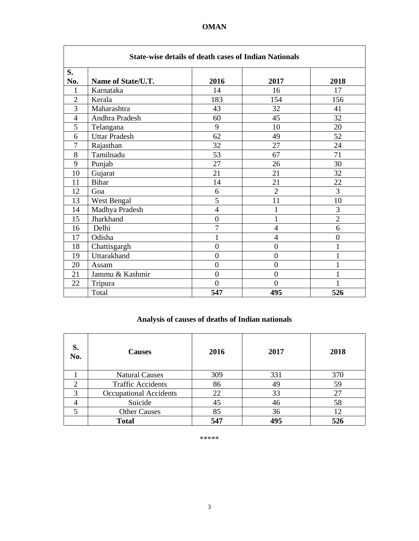| <b>State-wise details of death cases of Indian Nationals</b> |                      |                |                |                  |  |
|--------------------------------------------------------------|----------------------|----------------|----------------|------------------|--|
| S.                                                           |                      |                |                |                  |  |
| No.                                                          | Name of State/U.T.   | 2016           | 2017           | 2018             |  |
| 1                                                            | Karnataka            | 14             | 16             | 17               |  |
| $\overline{2}$                                               | Kerala               | 183            | 154            | 156              |  |
| $\overline{3}$                                               | Maharashtra          | 43             | 32             | 41               |  |
| $\overline{4}$                                               | Andhra Pradesh       | 60             | 45             | 32               |  |
| 5                                                            | Telangana            | 9              | 10             | 20               |  |
| 6                                                            | <b>Uttar Pradesh</b> | 62             | 49             | 52               |  |
| $\overline{7}$                                               | Rajasthan            | 32             | 27             | 24               |  |
| 8                                                            | Tamilnadu            | 53             | 67             | 71               |  |
| 9                                                            | Punjab               | 27             | 26             | 30               |  |
| 10                                                           | Gujarat              | 21             | 21             | 32               |  |
| 11                                                           | <b>Bihar</b>         | 14             | 21             | 22               |  |
| 12                                                           | Goa                  | 6              | $\overline{2}$ | 3                |  |
| 13                                                           | West Bengal          | 5              | 11             | 10               |  |
| 14                                                           | Madhya Pradesh       | $\overline{4}$ | $\mathbf{1}$   | 3                |  |
| 15                                                           | Jharkhand            | $\overline{0}$ | 1              | $\overline{2}$   |  |
| 16                                                           | Delhi                | $\overline{7}$ | $\overline{4}$ | 6                |  |
| 17                                                           | Odisha               | 1              | $\overline{4}$ | $\boldsymbol{0}$ |  |
| 18                                                           | Chattisgargh         | $\overline{0}$ | $\mathbf{0}$   | 1                |  |
| 19                                                           | Uttarakhand          | $\overline{0}$ | $\overline{0}$ | 1                |  |
| 20                                                           | Assam                | $\overline{0}$ | $\mathbf{0}$   | $\mathbf{1}$     |  |
| 21                                                           | Jammu & Kashmir      | $\overline{0}$ | $\overline{0}$ | $\mathbf 1$      |  |
| 22                                                           | Tripura              | $\overline{0}$ | $\overline{0}$ |                  |  |
|                                                              | Total                | 547            | 495            | 526              |  |

# **Analysis of causes of deaths of Indian nationals**

| S.<br>No. | <b>Causes</b>                 | 2016 | 2017 | 2018 |
|-----------|-------------------------------|------|------|------|
|           | <b>Natural Causes</b>         | 309  | 331  | 370  |
| ◠         | <b>Traffic Accidents</b>      | 86   | 49   | 59   |
| 3         | <b>Occupational Accidents</b> | 22   | 33   | 27   |
|           | Suicide                       | 45   | 46   | 58   |
|           | <b>Other Causes</b>           | 85   | 36   | 12   |
|           | <b>Total</b>                  | 547  | 495  | 526  |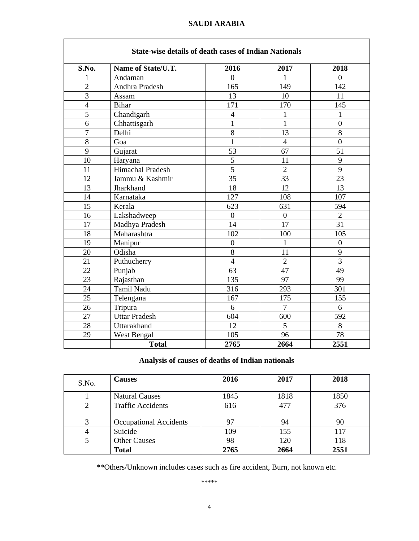Ī

|                 | <b>State-wise details of death cases of Indian Nationals</b> |                          |                |                  |  |  |
|-----------------|--------------------------------------------------------------|--------------------------|----------------|------------------|--|--|
| S.No.           | Name of State/U.T.                                           | 2016                     | 2017           | 2018             |  |  |
| 1               | Andaman                                                      | $\theta$                 | 1              | $\theta$         |  |  |
| $\overline{2}$  | Andhra Pradesh                                               | 165                      | 149            | 142              |  |  |
| $\overline{3}$  | Assam                                                        | 13                       | 10             | 11               |  |  |
| $\overline{4}$  | Bihar                                                        | 171                      | 170            | 145              |  |  |
| 5               | Chandigarh                                                   | $\overline{\mathcal{L}}$ | $\mathbf{1}$   | 1                |  |  |
| 6               | Chhattisgarh                                                 | $\mathbf{1}$             | $\mathbf{1}$   | $\overline{0}$   |  |  |
| $\overline{7}$  | Delhi                                                        | $\overline{8}$           | 13             | 8                |  |  |
| 8               | Goa                                                          | 1                        | $\overline{4}$ | $\overline{0}$   |  |  |
| 9               | Gujarat                                                      | 53                       | 67             | 51               |  |  |
| 10              | Haryana                                                      | 5                        | 11             | 9                |  |  |
| 11              | Himachal Pradesh                                             | $\overline{5}$           | $\overline{2}$ | 9                |  |  |
| 12              | Jammu & Kashmir                                              | 35                       | 33             | 23               |  |  |
| 13              | Jharkhand                                                    | 18                       | 12             | 13               |  |  |
| 14              | Karnataka                                                    | 127                      | 108            | 107              |  |  |
| $\overline{15}$ | Kerala                                                       | 623                      | 631            | 594              |  |  |
| 16              | Lakshadweep                                                  | $\overline{0}$           | $\overline{0}$ | $\overline{2}$   |  |  |
| 17              | Madhya Pradesh                                               | 14                       | 17             | 31               |  |  |
| 18              | Maharashtra                                                  | 102                      | 100            | 105              |  |  |
| 19              | Manipur                                                      | $\boldsymbol{0}$         | $\mathbf{1}$   | $\boldsymbol{0}$ |  |  |
| 20              | Odisha                                                       | 8                        | 11             | 9                |  |  |
| 21              | Puthucherry                                                  | $\overline{4}$           | $\overline{2}$ | $\overline{3}$   |  |  |
| 22              | Punjab                                                       | 63                       | 47             | 49               |  |  |
| 23              | Rajasthan                                                    | 135                      | 97             | 99               |  |  |
| 24              | Tamil Nadu                                                   | 316                      | 293            | 301              |  |  |
| 25              | Telengana                                                    | 167                      | 175            | 155              |  |  |
| 26              | Tripura                                                      | 6                        | $\overline{7}$ | 6                |  |  |
| 27              | <b>Uttar Pradesh</b>                                         | 604                      | 600            | 592              |  |  |
| 28              | Uttarakhand                                                  | 12                       | 5              | 8                |  |  |
| 29              | West Bengal                                                  | 105                      | 96             | 78               |  |  |
|                 | <b>Total</b>                                                 | 2765                     | 2664           | 2551             |  |  |

### **Analysis of causes of deaths of Indian nationals**

| S.No. | <b>Causes</b>            | 2016 | 2017 | 2018 |
|-------|--------------------------|------|------|------|
|       | <b>Natural Causes</b>    | 1845 | 1818 | 1850 |
|       | <b>Traffic Accidents</b> | 616  | 477  | 376  |
| 3     | Occupational Accidents   | 97   | 94   | 90   |
|       | Suicide                  | 109  | 155  | 117  |
|       | <b>Other Causes</b>      | 98   | 120  | 118  |
|       | <b>Total</b>             | 2765 | 2664 | 2551 |

\*\*Others/Unknown includes cases such as fire accident, Burn, not known etc.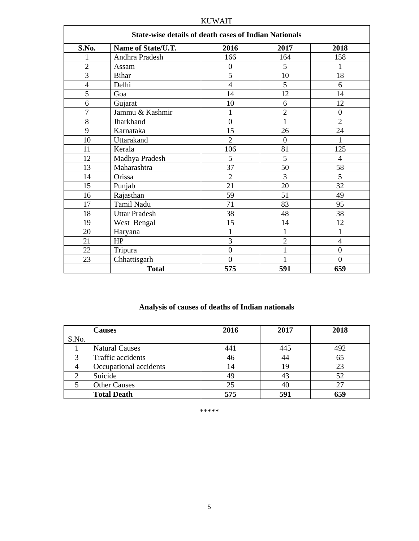| <b>State-wise details of death cases of Indian Nationals</b> |                      |                  |                |                  |  |
|--------------------------------------------------------------|----------------------|------------------|----------------|------------------|--|
| S.No.                                                        | Name of State/U.T.   | 2016             | 2017           | 2018             |  |
|                                                              | Andhra Pradesh       | 166              | 164            | 158              |  |
| $\overline{2}$                                               | Assam                | $\boldsymbol{0}$ | 5              | 1                |  |
| 3                                                            | <b>Bihar</b>         | 5                | 10             | 18               |  |
| $\overline{4}$                                               | Delhi                | $\overline{4}$   | 5              | 6                |  |
| 5                                                            | Goa                  | 14               | 12             | 14               |  |
| 6                                                            | Gujarat              | 10               | 6              | 12               |  |
| 7                                                            | Jammu & Kashmir      | 1                | $\overline{2}$ | $\overline{0}$   |  |
| 8                                                            | Jharkhand            | $\theta$         | 1              | $\overline{2}$   |  |
| 9                                                            | Karnataka            | 15               | 26             | 24               |  |
| 10                                                           | Uttarakand           | $\overline{2}$   | $\overline{0}$ | 1                |  |
| 11                                                           | Kerala               | 106              | 81             | 125              |  |
| 12                                                           | Madhya Pradesh       | 5                | 5              | $\overline{4}$   |  |
| 13                                                           | Maharashtra          | 37               | 50             | 58               |  |
| 14                                                           | Orissa               | $\overline{2}$   | 3              | 5                |  |
| 15                                                           | Punjab               | 21               | 20             | 32               |  |
| 16                                                           | Rajasthan            | 59               | 51             | 49               |  |
| 17                                                           | Tamil Nadu           | 71               | 83             | 95               |  |
| 18                                                           | <b>Uttar Pradesh</b> | 38               | 48             | 38               |  |
| 19                                                           | West Bengal          | 15               | 14             | 12               |  |
| 20                                                           | Haryana              | 1                | $\mathbf{1}$   | 1                |  |
| 21                                                           | HP                   | 3                | $\overline{2}$ | 4                |  |
| 22                                                           | Tripura              | $\overline{0}$   | 1              | $\boldsymbol{0}$ |  |
| 23                                                           | Chhattisgarh         | $\overline{0}$   | $\mathbf{1}$   | $\overline{0}$   |  |
|                                                              | <b>Total</b>         | 575              | 591            | 659              |  |

#### KUWAIT

# **Analysis of causes of deaths of Indian nationals**

|       | <b>Causes</b>          | 2016 | 2017 | 2018 |
|-------|------------------------|------|------|------|
| S.No. |                        |      |      |      |
|       | <b>Natural Causes</b>  | 441  | 445  | 492  |
|       | Traffic accidents      | 46   | 44   | 65   |
|       | Occupational accidents | 14   | 19   | 23   |
|       | Suicide                | 49   | 43   | 52   |
|       | <b>Other Causes</b>    | 25   | 40   |      |
|       | <b>Total Death</b>     | 575  | 591  | 659  |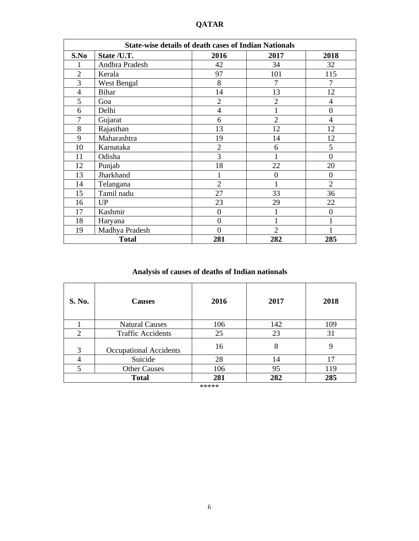| <b>State-wise details of death cases of Indian Nationals</b> |                |                  |                |                  |
|--------------------------------------------------------------|----------------|------------------|----------------|------------------|
| S.No                                                         | State /U.T.    | 2016             | 2017           | 2018             |
| 1                                                            | Andhra Pradesh | 42               | 34             | 32               |
| $\overline{2}$                                               | Kerala         | 97               | 101            | 115              |
| 3                                                            | West Bengal    | 8                | 7              | 7                |
| $\overline{4}$                                               | <b>Bihar</b>   | 14               | 13             | 12               |
| 5                                                            | Goa            | $\overline{2}$   | $\overline{2}$ | 4                |
| 6                                                            | Delhi          | $\overline{4}$   | $\mathbf{1}$   | $\overline{0}$   |
| 7                                                            | Gujarat        | 6                | $\overline{2}$ | $\overline{4}$   |
| 8                                                            | Rajasthan      | 13               | 12             | 12               |
| 9                                                            | Maharashtra    | 19               | 14             | 12               |
| 10                                                           | Karnataka      | $\overline{2}$   | 6              | 5                |
| 11                                                           | Odisha         | 3                |                | $\overline{0}$   |
| 12                                                           | Punjab         | 18               | 22             | 20               |
| 13                                                           | Jharkhand      | 1                | $\mathbf{0}$   | $\mathbf{0}$     |
| 14                                                           | Telangana      | $\overline{2}$   | 1              | $\overline{2}$   |
| 15                                                           | Tamil nadu     | 27               | 33             | 36               |
| 16                                                           | <b>UP</b>      | 23               | 29             | 22               |
| 17                                                           | Kashmir        | $\boldsymbol{0}$ | 1              | $\boldsymbol{0}$ |
| 18                                                           | Haryana        | $\theta$         | 1              |                  |
| 19                                                           | Madhya Pradesh | $\theta$         | $\overline{2}$ | 1                |
|                                                              | <b>Total</b>   | 281              | 282            | 285              |

**QATAR** 

# **Analysis of causes of deaths of Indian nationals**

| S. No. | <b>Causes</b>                 | 2016 | 2017 | 2018 |
|--------|-------------------------------|------|------|------|
|        | <b>Natural Causes</b>         | 106  | 142  | 109  |
| 2      | <b>Traffic Accidents</b>      | 25   | 23   | 31   |
| 3      | <b>Occupational Accidents</b> | 16   | 8    | 9    |
|        | Suicide                       | 28   | 14   | 17   |
|        | <b>Other Causes</b>           | 106  | 95   | 119  |
|        | <b>Total</b>                  | 281  | 282  | 285  |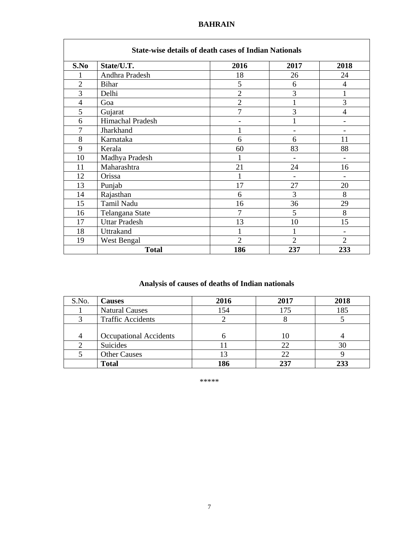#### **BAHRAIN**

| <b>State-wise details of death cases of Indian Nationals</b> |                      |                |                |                |  |
|--------------------------------------------------------------|----------------------|----------------|----------------|----------------|--|
| S.No                                                         | State/U.T.           | 2016           | 2017           | 2018           |  |
|                                                              | Andhra Pradesh       | 18             | 26             | 24             |  |
| $\overline{2}$                                               | <b>Bihar</b>         | 5              | 6              | 4              |  |
| 3                                                            | Delhi                | $\overline{2}$ | 3              | 1              |  |
| $\overline{4}$                                               | Goa                  | $\overline{2}$ | $\mathbf{1}$   | 3              |  |
| 5                                                            | Gujarat              | 7              | 3              | 4              |  |
| 6                                                            | Himachal Pradesh     |                | 1              |                |  |
| 7                                                            | Jharkhand            |                |                |                |  |
| 8                                                            | Karnataka            | 6              | 6              | 11             |  |
| 9                                                            | Kerala               | 60             | 83             | 88             |  |
| 10                                                           | Madhya Pradesh       |                |                |                |  |
| 11                                                           | Maharashtra          | 21             | 24             | 16             |  |
| 12                                                           | Orissa               | 1              | $\blacksquare$ |                |  |
| 13                                                           | Punjab               | 17             | 27             | 20             |  |
| 14                                                           | Rajasthan            | 6              | 3              | 8              |  |
| 15                                                           | Tamil Nadu           | 16             | 36             | 29             |  |
| 16                                                           | Telangana State      | 7              | 5              | 8              |  |
| 17                                                           | <b>Uttar Pradesh</b> | 13             | 10             | 15             |  |
| 18                                                           | Uttrakand            |                | 1              | $\blacksquare$ |  |
| 19                                                           | West Bengal          | $\overline{2}$ | $\overline{2}$ | $\overline{2}$ |  |
|                                                              | <b>Total</b>         | 186            | 237            | 233            |  |

# **Analysis of causes of deaths of Indian nationals**

| S.No. | <b>Causes</b>                 | 2016 | 2017 | 2018 |
|-------|-------------------------------|------|------|------|
|       | <b>Natural Causes</b>         | l 54 | 175  | 185  |
|       | <b>Traffic Accidents</b>      |      | Ω    |      |
|       |                               |      |      |      |
|       | <b>Occupational Accidents</b> |      | 10   |      |
|       | Suicides                      |      | 22   | 30   |
|       | <b>Other Causes</b>           |      | 22   |      |
|       | <b>Total</b>                  | 186  | 237  | 233  |